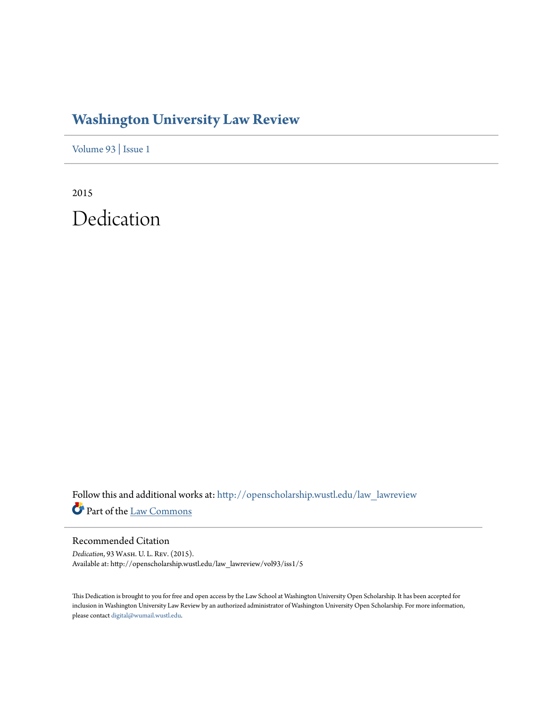## **[Washington University Law Review](http://openscholarship.wustl.edu/law_lawreview?utm_source=openscholarship.wustl.edu%2Flaw_lawreview%2Fvol93%2Fiss1%2F5&utm_medium=PDF&utm_campaign=PDFCoverPages)**

[Volume 93](http://openscholarship.wustl.edu/law_lawreview/vol93?utm_source=openscholarship.wustl.edu%2Flaw_lawreview%2Fvol93%2Fiss1%2F5&utm_medium=PDF&utm_campaign=PDFCoverPages) | [Issue 1](http://openscholarship.wustl.edu/law_lawreview/vol93/iss1?utm_source=openscholarship.wustl.edu%2Flaw_lawreview%2Fvol93%2Fiss1%2F5&utm_medium=PDF&utm_campaign=PDFCoverPages)

2015 Dedication

Follow this and additional works at: [http://openscholarship.wustl.edu/law\\_lawreview](http://openscholarship.wustl.edu/law_lawreview?utm_source=openscholarship.wustl.edu%2Flaw_lawreview%2Fvol93%2Fiss1%2F5&utm_medium=PDF&utm_campaign=PDFCoverPages) Part of the [Law Commons](http://network.bepress.com/hgg/discipline/578?utm_source=openscholarship.wustl.edu%2Flaw_lawreview%2Fvol93%2Fiss1%2F5&utm_medium=PDF&utm_campaign=PDFCoverPages)

Recommended Citation

*Dedication*, 93 Wash. U. L. Rev. (2015). Available at: http://openscholarship.wustl.edu/law\_lawreview/vol93/iss1/5

This Dedication is brought to you for free and open access by the Law School at Washington University Open Scholarship. It has been accepted for inclusion in Washington University Law Review by an authorized administrator of Washington University Open Scholarship. For more information, please contact [digital@wumail.wustl.edu.](mailto:digital@wumail.wustl.edu)